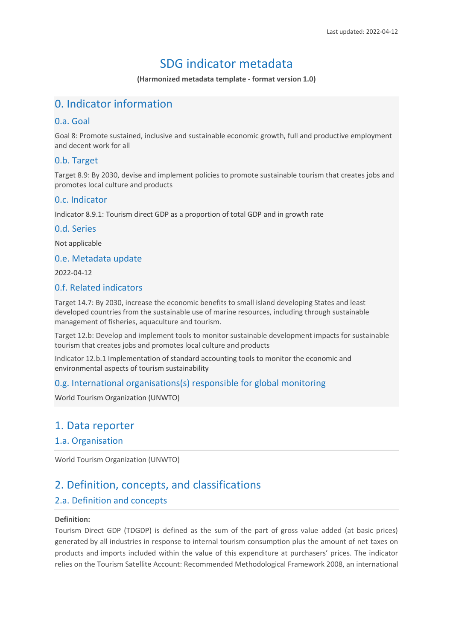# SDG indicator metadata

**(Harmonized metadata template - format version 1.0)**

# 0. Indicator information

### 0.a. Goal

Goal 8: Promote sustained, inclusive and sustainable economic growth, full and productive employment and decent work for all

### 0.b. Target

Target 8.9: By 2030, devise and implement policies to promote sustainable tourism that creates jobs and promotes local culture and products

#### 0.c. Indicator

Indicator 8.9.1: Tourism direct GDP as a proportion of total GDP and in growth rate

#### 0.d. Series

Not applicable

#### 0.e. Metadata update

2022-04-12

### 0.f. Related indicators

Target 14.7: By 2030, increase the economic benefits to small island developing States and least developed countries from the sustainable use of marine resources, including through sustainable management of fisheries, aquaculture and tourism.

Target 12.b: Develop and implement tools to monitor sustainable development impacts for sustainable tourism that creates jobs and promotes local culture and products

Indicator 12.b.1 Implementation of standard accounting tools to monitor the economic and environmental aspects of tourism sustainability

## 0.g. International organisations(s) responsible for global monitoring

World Tourism Organization (UNWTO)

## 1. Data reporter

#### 1.a. Organisation

World Tourism Organization (UNWTO)

# 2. Definition, concepts, and classifications

## 2.a. Definition and concepts

#### **Definition:**

Tourism Direct GDP (TDGDP) is defined as the sum of the part of gross value added (at basic prices) generated by all industries in response to internal tourism consumption plus the amount of net taxes on products and imports included within the value of this expenditure at purchasers' prices. The indicator relies on the Tourism Satellite Account: Recommended Methodological Framework 2008, an international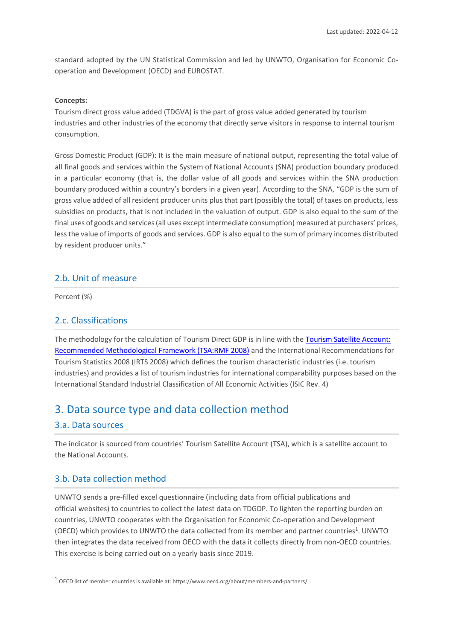standard adopted by the UN Statistical Commission and led by UNWTO, Organisation for Economic Cooperation and Development (OECD) and EUROSTAT.

#### **Concepts:**

Tourism direct gross value added (TDGVA) is the part of gross value added generated by tourism industries and other industries of the economy that directly serve visitors in response to internal tourism consumption.

Gross Domestic Product (GDP): It is the main measure of national output, representing the total value of all final goods and services within the System of National Accounts (SNA) production boundary produced in a particular economy (that is, the dollar value of all goods and services within the SNA production boundary produced within a country's borders in a given year). According to the SNA, "GDP is the sum of gross value added of all resident producer units plus that part (possibly the total) of taxes on products, less subsidies on products, that is not included in the valuation of output. GDP is also equal to the sum of the final uses of goods and services (all uses except intermediate consumption) measured at purchasers' prices, less the value of imports of goods and services. GDP is also equal to the sum of primary incomes distributed by resident producer units."

#### 2.b. Unit of measure

Percent (%)

### 2.c. Classifications

The methodology for the calculation of Tourism Direct GDP is in line with the [Tourism Satellite Account:](https://unstats.un.org/unsd/publication/seriesf/seriesf_80rev1e.pdf)  [Recommended Methodological Framework \(TSA:RMF 2008\)](https://unstats.un.org/unsd/publication/seriesf/seriesf_80rev1e.pdf) and the International Recommendations for Tourism Statistics 2008 (IRTS 2008) which defines the tourism characteristic industries (i.e. tourism industries) and provides a list of tourism industries for international comparability purposes based on the International Standard Industrial Classification of All Economic Activities (ISIC Rev. 4)

## 3. Data source type and data collection method

#### 3.a. Data sources

The indicator is sourced from countries' Tourism Satellite Account (TSA), which is a satellite account to the National Accounts.

### 3.b. Data collection method

UNWTO sends a pre-filled excel questionnaire (including data from official publications and official websites) to countries to collect the latest data on TDGDP. To lighten the reporting burden on countries, UNWTO cooperates with the Organisation for Economic Co-operation and Development (OECD) which provides to UNWTO the data collected from its member and partner countries<sup>1</sup>. UNWTO then integrates the data received from OECD with the data it collects directly from non-OECD countries. This exercise is being carried out on a yearly basis since 2019.

<sup>1</sup> OECD list of member countries is available at: https://www.oecd.org/about/members-and-partners/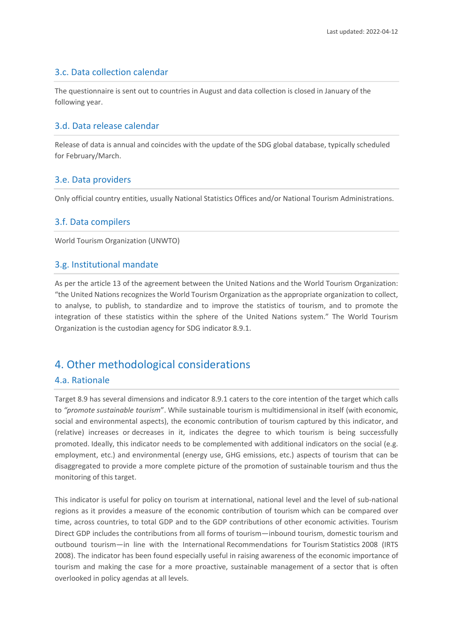### 3.c. Data collection calendar

The questionnaire is sent out to countries in August and data collection is closed in January of the following year.

### 3.d. Data release calendar

Release of data is annual and coincides with the update of the SDG global database, typically scheduled for February/March.

### 3.e. Data providers

Only official country entities, usually National Statistics Offices and/or National Tourism Administrations.

#### 3.f. Data compilers

World Tourism Organization (UNWTO)

#### 3.g. Institutional mandate

As per the article 13 of the agreement between the United Nations and the World Tourism Organization: "the United Nations recognizes the World Tourism Organization as the appropriate organization to collect, to analyse, to publish, to standardize and to improve the statistics of tourism, and to promote the integration of these statistics within the sphere of the United Nations system." The World Tourism Organization is the custodian agency for SDG indicator 8.9.1.

# 4. Other methodological considerations

### 4.a. Rationale

Target 8.9 has several dimensions and indicator 8.9.1 caters to the core intention of the target which calls to *"promote sustainable tourism*". While sustainable tourism is multidimensional in itself (with economic, social and environmental aspects), the economic contribution of tourism captured by this indicator, and (relative) increases or decreases in it, indicates the degree to which tourism is being successfully promoted. Ideally, this indicator needs to be complemented with additional indicators on the social (e.g. employment, etc.) and environmental (energy use, GHG emissions, etc.) aspects of tourism that can be disaggregated to provide a more complete picture of the promotion of sustainable tourism and thus the monitoring of this target.

This indicator is useful for policy on tourism at international, national level and the level of sub-national regions as it provides a measure of the economic contribution of tourism which can be compared over time, across countries, to total GDP and to the GDP contributions of other economic activities. Tourism Direct GDP includes the contributions from all forms of tourism—inbound tourism, domestic tourism and outbound tourism—in line with the International Recommendations for Tourism Statistics 2008 (IRTS 2008). The indicator has been found especially useful in raising awareness of the economic importance of tourism and making the case for a more proactive, sustainable management of a sector that is often overlooked in policy agendas at all levels.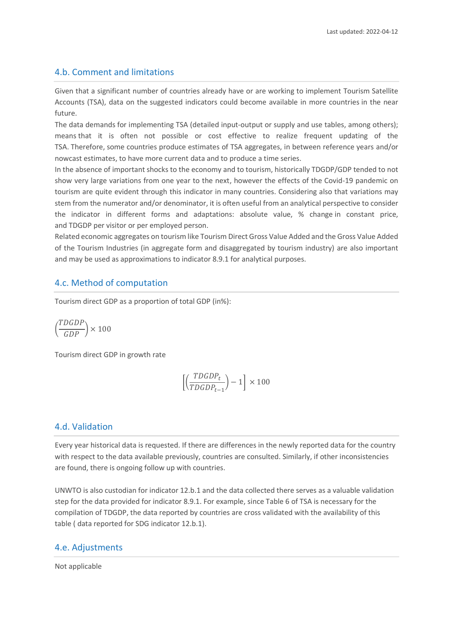### 4.b. Comment and limitations

Given that a significant number of countries already have or are working to implement Tourism Satellite Accounts (TSA), data on the suggested indicators could become available in more countries in the near future.

The data demands for implementing TSA (detailed input-output or supply and use tables, among others); means that it is often not possible or cost effective to realize frequent updating of the TSA. Therefore, some countries produce estimates of TSA aggregates, in between reference years and/or nowcast estimates, to have more current data and to produce a time series.

In the absence of important shocks to the economy and to tourism, historically TDGDP/GDP tended to not show very large variations from one year to the next, however the effects of the Covid-19 pandemic on tourism are quite evident through this indicator in many countries. Considering also that variations may stem from the numerator and/or denominator, it is often useful from an analytical perspective to consider the indicator in different forms and adaptations: absolute value, % change in constant price, and TDGDP per visitor or per employed person.

Related economic aggregates on tourism like Tourism Direct Gross Value Added and the Gross Value Added of the Tourism Industries (in aggregate form and disaggregated by tourism industry) are also important and may be used as approximations to indicator 8.9.1 for analytical purposes.

### 4.c. Method of computation

Tourism direct GDP as a proportion of total GDP (in%):

$$
\left(\frac{TDGDP}{GDP}\right)\times100
$$

Tourism direct GDP in growth rate

$$
\left[\left(\frac{TDGDP_t}{TDGDP_{t-1}}\right) - 1\right] \times 100
$$

#### 4.d. Validation

Every year historical data is requested. If there are differences in the newly reported data for the country with respect to the data available previously, countries are consulted. Similarly, if other inconsistencies are found, there is ongoing follow up with countries.

UNWTO is also custodian for indicator 12.b.1 and the data collected there serves as a valuable validation step for the data provided for indicator 8.9.1. For example, since Table 6 of TSA is necessary for the compilation of TDGDP, the data reported by countries are cross validated with the availability of this table ( data reported for SDG indicator 12.b.1).

#### 4.e. Adjustments

Not applicable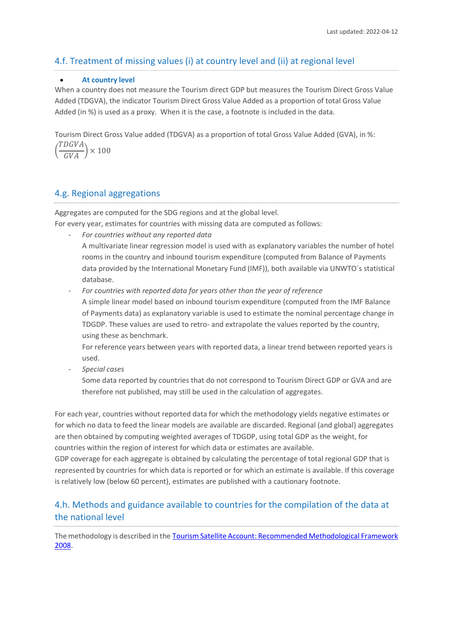## 4.f. Treatment of missing values (i) at country level and (ii) at regional level

#### • **At country level**

When a country does not measure the Tourism direct GDP but measures the Tourism Direct Gross Value Added (TDGVA), the indicator Tourism Direct Gross Value Added as a proportion of total Gross Value Added (in %) is used as a proxy. When it is the case, a footnote is included in the data.

Tourism Direct Gross Value added (TDGVA) as a proportion of total Gross Value Added (GVA), in %:

( TDGVA  $\left(\frac{V}{GVA}\right) \times 100$ 

## 4.g. Regional aggregations

Aggregates are computed for the SDG regions and at the global level.

For every year, estimates for countries with missing data are computed as follows:

- *For countries without any reported data* A multivariate linear regression model is used with as explanatory variables the number of hotel rooms in the country and inbound tourism expenditure (computed from Balance of Payments data provided by the International Monetary Fund (IMF)), both available via UNWTO´s statistical database.
	- For countries with reported data for years other than the year of reference A simple linear model based on inbound tourism expenditure (computed from the IMF Balance of Payments data) as explanatory variable is used to estimate the nominal percentage change in TDGDP. These values are used to retro- and extrapolate the values reported by the country, using these as benchmark.

For reference years between years with reported data, a linear trend between reported years is used.

- *Special cases*

Some data reported by countries that do not correspond to Tourism Direct GDP or GVA and are therefore not published, may still be used in the calculation of aggregates.

For each year, countries without reported data for which the methodology yields negative estimates or for which no data to feed the linear models are available are discarded. Regional (and global) aggregates are then obtained by computing weighted averages of TDGDP, using total GDP as the weight, for countries within the region of interest for which data or estimates are available.

GDP coverage for each aggregate is obtained by calculating the percentage of total regional GDP that is represented by countries for which data is reported or for which an estimate is available. If this coverage is relatively low (below 60 percent), estimates are published with a cautionary footnote.

## 4.h. Methods and guidance available to countries for the compilation of the data at the national level

The methodology is described in the Tourism Satellite Account: Recommended Methodological Framework [2008](https://unstats.un.org/unsd/tourism/methodology.asp).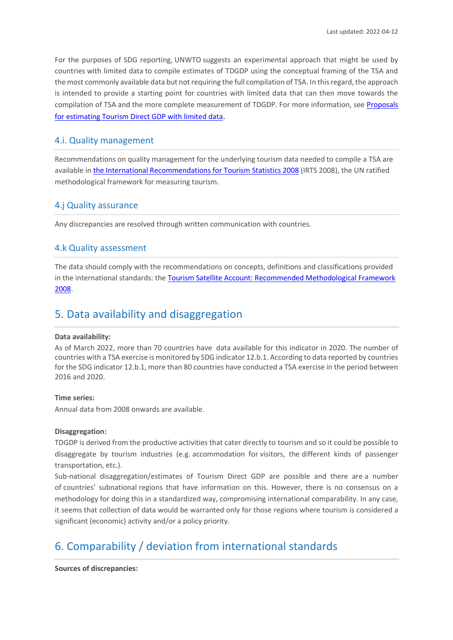For the purposes of SDG reporting, UNWTO suggests an experimental approach that might be used by countries with limited data to compile estimates of TDGDP using the conceptual framing of the TSA and the most commonly available data but not requiring the full compilation of TSA. In this regard, the approach is intended to provide a starting point for countries with limited data that can then move towards the compilation of TSA and the more complete measurement of TDGDP. For more information, see [Proposals](https://webunwto.s3-eu-west-1.amazonaws.com/imported_images/49465/mst_research_paper_measuring_tdgdp.pdf)  [for estimating Tourism Direct GDP with limited data](https://webunwto.s3-eu-west-1.amazonaws.com/imported_images/49465/mst_research_paper_measuring_tdgdp.pdf).

#### 4.i. Quality management

Recommendations on quality management for the underlying tourism data needed to compile a TSA are available i[n the International Recommendations for Tourism Statistics 2008](https://unstats.un.org/unsd/publication/Seriesm/SeriesM_83rev1e.pdf) (IRTS 2008), the UN ratified methodological framework for measuring tourism.

#### 4.j Quality assurance

Any discrepancies are resolved through written communication with countries.

#### 4.k Quality assessment

The data should comply with the recommendations on concepts, definitions and classifications provided in the international standards: th[e Tourism Satellite Account: Recommended Methodological Framework](http://unstats.un.org/unsd/tradeserv/tourism/manual.html)  [2008.](http://unstats.un.org/unsd/tradeserv/tourism/manual.html)

## 5. Data availability and disaggregation

#### **Data availability:**

As of March 2022, more than 70 countries have data available for this indicator in 2020. The number of countries with a TSA exercise is monitored by SDG indicator 12.b.1. According to data reported by countries for the SDG indicator 12.b.1, more than 80 countries have conducted a TSA exercise in the period between 2016 and 2020.

#### **Time series:**

Annual data from 2008 onwards are available.

#### **Disaggregation:**

TDGDP is derived from the productive activities that cater directly to tourism and so it could be possible to disaggregate by tourism industries (e.g. accommodation for visitors, the different kinds of passenger transportation, etc.).

Sub-national disaggregation/estimates of Tourism Direct GDP are possible and there are a number of countries' subnational regions that have information on this. However, there is no consensus on a methodology for doing this in a standardized way, compromising international comparability. In any case, it seems that collection of data would be warranted only for those regions where tourism is considered a significant (economic) activity and/or a policy priority.

# 6. Comparability / deviation from international standards

#### **Sources of discrepancies:**